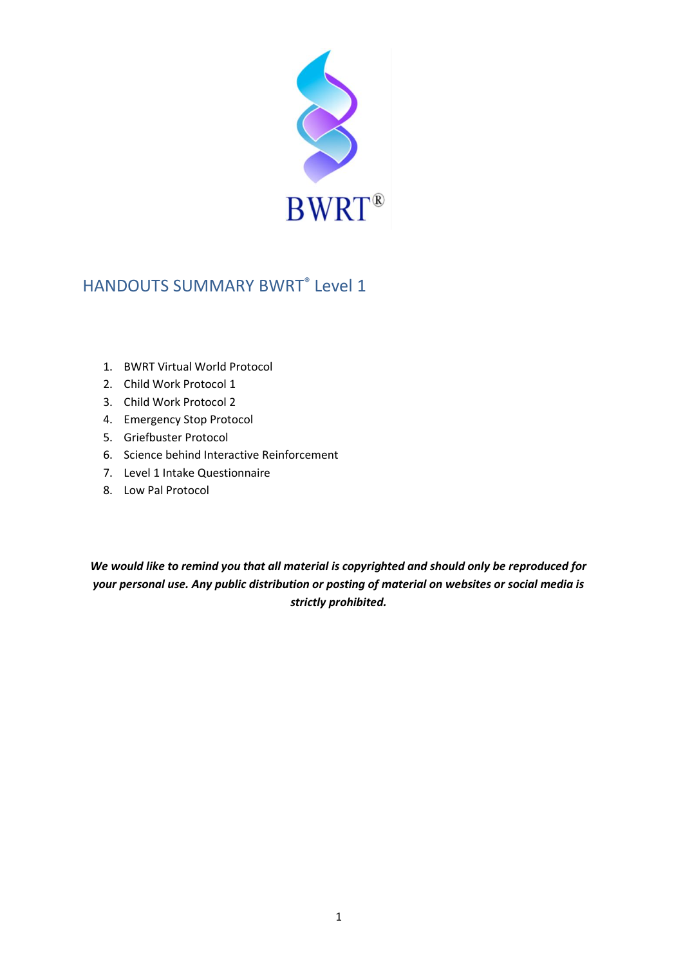

# HANDOUTS SUMMARY BWRT® Level 1

- 1. BWRT Virtual World Protocol
- 2. Child Work Protocol 1
- 3. Child Work Protocol 2
- 4. Emergency Stop Protocol
- 5. Griefbuster Protocol
- 6. Science behind Interactive Reinforcement
- 7. Level 1 Intake Questionnaire
- 8. Low Pal Protocol

*We would like to remind you that all material is copyrighted and should only be reproduced for your personal use. Any public distribution or posting of material on websites or social media is strictly prohibited.*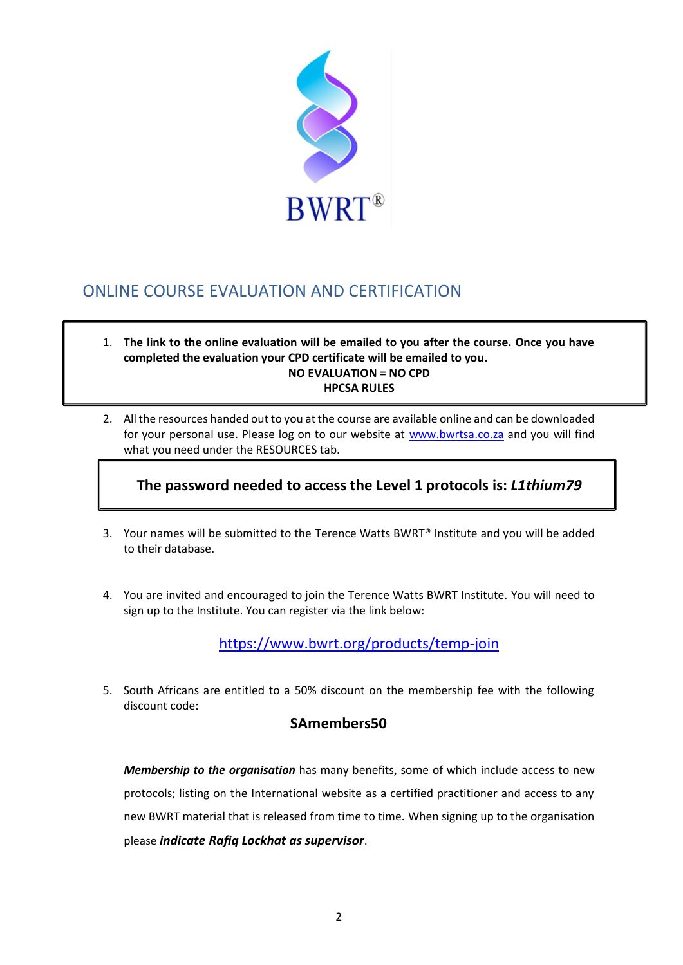

## ONLINE COURSE EVALUATION AND CERTIFICATION

- 1. **The link to the online evaluation will be emailed to you after the course. Once you have completed the evaluation your CPD certificate will be emailed to you. NO EVALUATION = NO CPD HPCSA RULES**
- 2. All the resources handed out to you at the course are available online and can be downloaded for your personal use. Please log on to our website at [www.bwrtsa.co.za](http://www.bwrtsa.co.za/) and you will find what you need under the RESOURCES tab.

## **The password needed to access the Level 1 protocols is:** *L1thium79*

- 3. Your names will be submitted to the Terence Watts BWRT® Institute and you will be added to their database.
- 4. You are invited and encouraged to join the Terence Watts BWRT Institute. You will need to sign up to the Institute. You can register via the link below:

<https://www.bwrt.org/products/temp-join>

5. South Africans are entitled to a 50% discount on the membership fee with the following discount code:

### **SAmembers50**

*Membership to the organisation* has many benefits, some of which include access to new protocols; listing on the International website as a certified practitioner and access to any new BWRT material that is released from time to time. When signing up to the organisation please *indicate Rafiq Lockhat as supervisor*.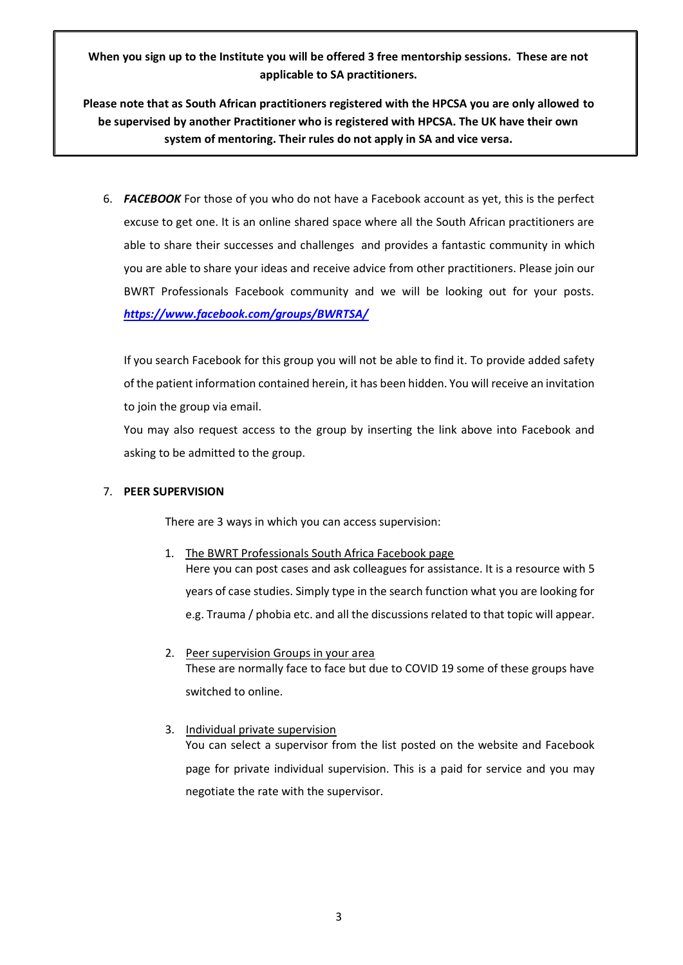**When you sign up to the Institute you will be offered 3 free mentorship sessions. These are not applicable to SA practitioners.**

**Please note that as South African practitioners registered with the HPCSA you are only allowed to be supervised by another Practitioner who is registered with HPCSA. The UK have their own system of mentoring. Their rules do not apply in SA and vice versa.**

6. *FACEBOOK* For those of you who do not have a Facebook account as yet, this is the perfect excuse to get one. It is an online shared space where all the South African practitioners are able to share their successes and challenges and provides a fantastic community in which you are able to share your ideas and receive advice from other practitioners. Please join our BWRT Professionals Facebook community and we will be looking out for your posts. *<https://www.facebook.com/groups/BWRTSA/>*

If you search Facebook for this group you will not be able to find it. To provide added safety of the patient information contained herein, it has been hidden. You will receive an invitation to join the group via email.

You may also request access to the group by inserting the link above into Facebook and asking to be admitted to the group.

#### 7. **PEER SUPERVISION**

There are 3 ways in which you can access supervision:

- 1. The BWRT Professionals South Africa Facebook page Here you can post cases and ask colleagues for assistance. It is a resource with 5 years of case studies. Simply type in the search function what you are looking for e.g. Trauma / phobia etc. and all the discussions related to that topic will appear.
- 2. Peer supervision Groups in your area These are normally face to face but due to COVID 19 some of these groups have switched to online.
- 3. Individual private supervision You can select a supervisor from the list posted on the website and Facebook page for private individual supervision. This is a paid for service and you may negotiate the rate with the supervisor.